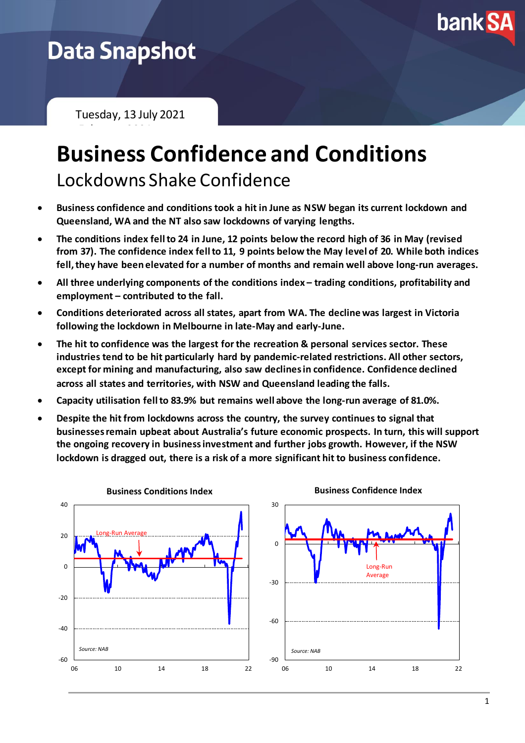

## **Data Snapshot**

Tuesday, 13 July 2021

February 2021

## **Business Confidence and Conditions** Lockdowns Shake Confidence

- **Business confidence and conditions took a hit in June as NSW began its current lockdown and Queensland, WA and the NT also saw lockdowns of varying lengths.**
- **The conditions index fell to 24 in June, 12 points below the record high of 36 in May (revised from 37). The confidence index fell to 11, 9 points below the May level of 20. While both indices fell, they have been elevated for a number of months and remain well above long-run averages.**
- All three underlying components of the conditions index trading conditions, profitability and **employment – contributed to the fall.**
- **Conditions deteriorated across all states, apart from WA. The decline was largest in Victoria following the lockdown in Melbourne in late-May and early-June.**
- **The hit to confidence was the largest for the recreation & personal services sector. These industries tend to be hit particularly hard by pandemic-related restrictions. All other sectors, except for mining and manufacturing, also saw declines in confidence. Confidence declined across all states and territories, with NSW and Queensland leading the falls.**
- **Capacity utilisation fell to 83.9% but remains well above the long-run average of 81.0%.**
- **Despite the hit from lockdowns across the country, the survey continues to signal that businesses remain upbeat about Australia's future economic prospects. In turn, this will support the ongoing recovery in business investment and further jobs growth. However, if the NSW lockdown is dragged out, there is a risk of a more significant hit to business confidence.**

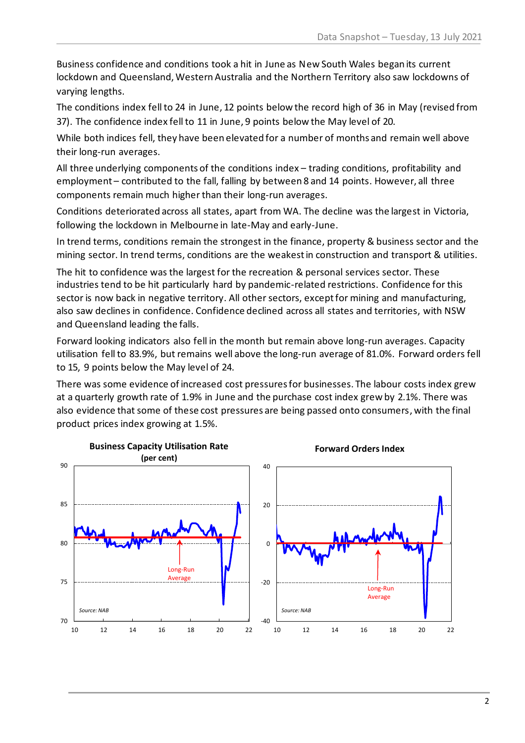Business confidence and conditions took a hit in June as New South Wales began its current lockdown and Queensland, Western Australia and the Northern Territory also saw lockdowns of varying lengths.

The conditions index fell to 24 in June, 12 points below the record high of 36 in May (revised from 37). The confidence index fell to 11 in June, 9 points below the May level of 20.

While both indices fell, they have been elevated for a number of months and remain well above their long-run averages.

All three underlying components of the conditions index – trading conditions, profitability and employment – contributed to the fall, falling by between 8 and 14 points. However, all three components remain much higher than their long-run averages.

Conditions deteriorated across all states, apart from WA. The decline was the largest in Victoria, following the lockdown in Melbourne in late-May and early-June.

In trend terms, conditions remain the strongest in the finance, property & business sector and the mining sector. In trend terms, conditions are the weakest in construction and transport & utilities.

The hit to confidence was the largest for the recreation & personal services sector. These industries tend to be hit particularly hard by pandemic-related restrictions. Confidence for this sector is now back in negative territory. All other sectors, except for mining and manufacturing, also saw declines in confidence. Confidence declined across all states and territories, with NSW and Queensland leading the falls.

Forward looking indicators also fell in the month but remain above long-run averages. Capacity utilisation fell to 83.9%, but remains well above the long-run average of 81.0%. Forward orders fell to 15, 9 points below the May level of 24.

There was some evidence of increased cost pressures for businesses. The labour costs index grew at a quarterly growth rate of 1.9% in June and the purchase cost index grew by 2.1%. There was also evidence that some of these cost pressures are being passed onto consumers, with the final product prices index growing at 1.5%.

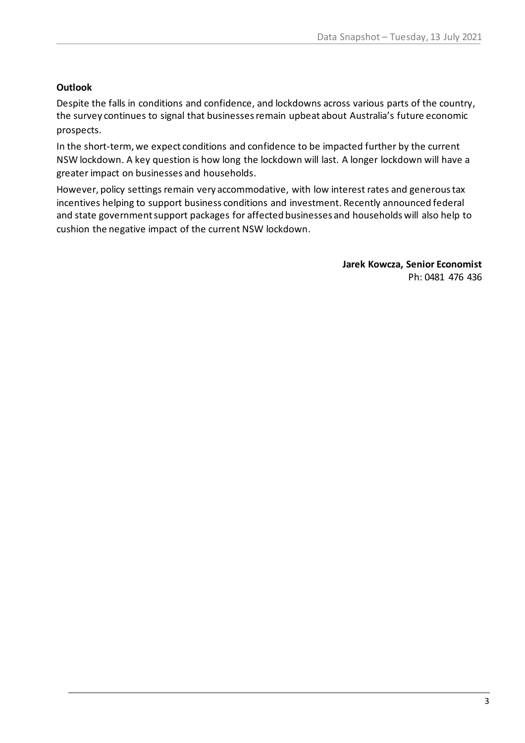## **Outlook**

Despite the falls in conditions and confidence, and lockdowns across various parts of the country, the survey continues to signal that businesses remain upbeat about Australia's future economic prospects.

In the short-term, we expect conditions and confidence to be impacted further by the current NSW lockdown. A key question is how long the lockdown will last. A longer lockdown will have a greater impact on businesses and households.

However, policy settings remain very accommodative, with low interest rates and generous tax incentives helping to support business conditions and investment. Recently announced federal and state government support packages for affected businesses and households will also help to cushion the negative impact of the current NSW lockdown.

> **Jarek Kowcza, Senior Economist** Ph: 0481 476 436